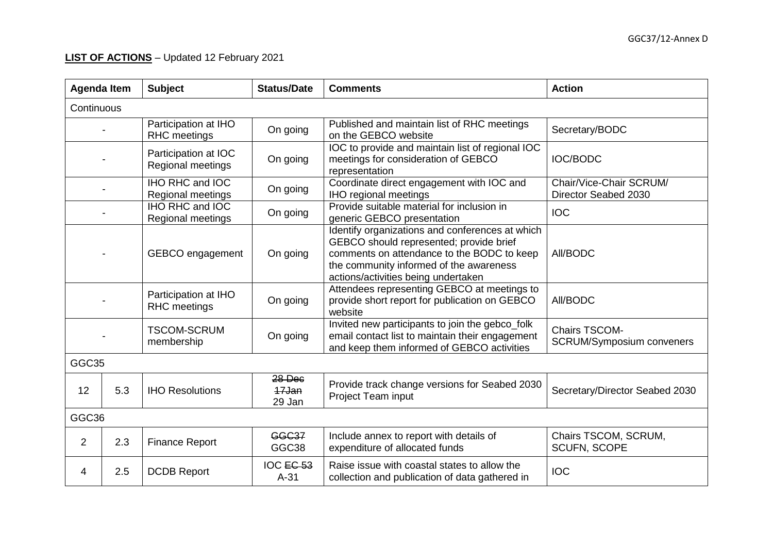## **LIST OF ACTIONS** – Updated 12 February 2021

| <b>Agenda Item</b> |     | <b>Subject</b>                                                                                                              | <b>Status/Date</b><br><b>Comments</b> |                                                                                                                                                                                                                            | <b>Action</b>                                            |  |
|--------------------|-----|-----------------------------------------------------------------------------------------------------------------------------|---------------------------------------|----------------------------------------------------------------------------------------------------------------------------------------------------------------------------------------------------------------------------|----------------------------------------------------------|--|
| Continuous         |     |                                                                                                                             |                                       |                                                                                                                                                                                                                            |                                                          |  |
|                    |     | Participation at IHO<br><b>RHC</b> meetings                                                                                 | On going                              | Published and maintain list of RHC meetings<br>on the GEBCO website                                                                                                                                                        | Secretary/BODC                                           |  |
|                    |     | Participation at IOC<br><b>Regional meetings</b>                                                                            | On going                              | IOC to provide and maintain list of regional IOC<br>meetings for consideration of GEBCO<br>representation                                                                                                                  | <b>IOC/BODC</b>                                          |  |
|                    |     | IHO RHC and IOC<br>Regional meetings                                                                                        | On going                              | Coordinate direct engagement with IOC and<br><b>IHO regional meetings</b>                                                                                                                                                  | Chair/Vice-Chair SCRUM/<br>Director Seabed 2030          |  |
|                    |     | <b>IHO RHC and IOC</b><br>Regional meetings                                                                                 | On going                              | Provide suitable material for inclusion in<br>generic GEBCO presentation                                                                                                                                                   | <b>IOC</b>                                               |  |
|                    |     | GEBCO engagement                                                                                                            | On going                              | Identify organizations and conferences at which<br>GEBCO should represented; provide brief<br>comments on attendance to the BODC to keep<br>the community informed of the awareness<br>actions/activities being undertaken | All/BODC                                                 |  |
|                    |     | Participation at IHO<br><b>RHC</b> meetings                                                                                 | On going                              | Attendees representing GEBCO at meetings to<br>provide short report for publication on GEBCO<br>website                                                                                                                    | All/BODC                                                 |  |
|                    |     | <b>TSCOM-SCRUM</b><br>membership                                                                                            | On going                              | Invited new participants to join the gebco_folk<br>email contact list to maintain their engagement<br>and keep them informed of GEBCO activities                                                                           | <b>Chairs TSCOM-</b><br><b>SCRUM/Symposium conveners</b> |  |
| GGC35              |     |                                                                                                                             |                                       |                                                                                                                                                                                                                            |                                                          |  |
| 12                 | 5.3 | <b>IHO Resolutions</b>                                                                                                      | 28 Dec<br>17Jan<br>29 Jan             | Provide track change versions for Seabed 2030<br>Project Team input                                                                                                                                                        | Secretary/Director Seabed 2030                           |  |
| GGC36              |     |                                                                                                                             |                                       |                                                                                                                                                                                                                            |                                                          |  |
| $\overline{2}$     | 2.3 | <b>GGC37</b><br>Include annex to report with details of<br><b>Finance Report</b><br>GGC38<br>expenditure of allocated funds |                                       | Chairs TSCOM, SCRUM,<br><b>SCUFN, SCOPE</b>                                                                                                                                                                                |                                                          |  |
| 4                  | 2.5 | <b>DCDB Report</b>                                                                                                          | IOC EC 53<br>$A-31$                   | Raise issue with coastal states to allow the<br>collection and publication of data gathered in                                                                                                                             | <b>IOC</b>                                               |  |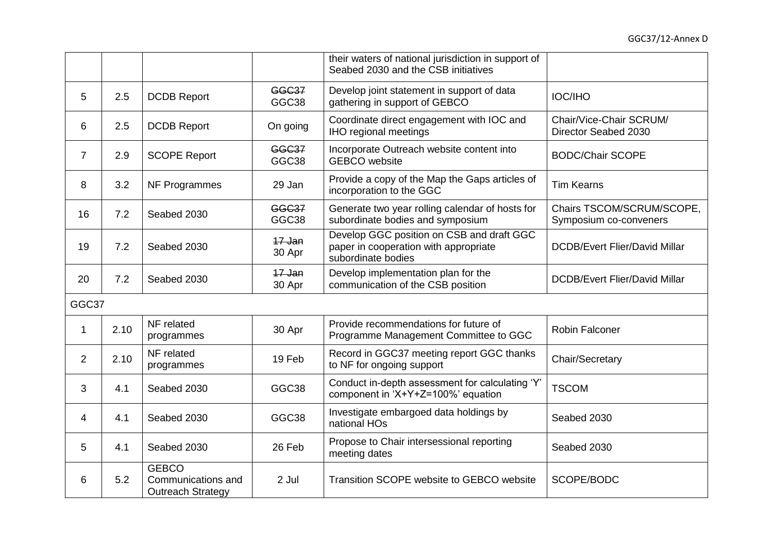|                |      |                                                                                                                      |                       | their waters of national jurisdiction in support of<br>Seabed 2030 and the CSB initiatives               |                                                     |
|----------------|------|----------------------------------------------------------------------------------------------------------------------|-----------------------|----------------------------------------------------------------------------------------------------------|-----------------------------------------------------|
| 5              | 2.5  | <b>DCDB Report</b>                                                                                                   | <b>GGC37</b><br>GGC38 | Develop joint statement in support of data<br>gathering in support of GEBCO                              | <b>IOC/IHO</b>                                      |
| 6              | 2.5  | <b>DCDB Report</b>                                                                                                   | On going              | Coordinate direct engagement with IOC and<br><b>IHO regional meetings</b>                                | Chair/Vice-Chair SCRUM/<br>Director Seabed 2030     |
| $\overline{7}$ | 2.9  | <b>GGC37</b><br>Incorporate Outreach website content into<br><b>SCOPE Report</b><br>GGC38<br><b>GEBCO</b> website    |                       | <b>BODC/Chair SCOPE</b>                                                                                  |                                                     |
| 8              | 3.2  | Provide a copy of the Map the Gaps articles of<br>29 Jan<br>NF Programmes<br>incorporation to the GGC                |                       | <b>Tim Kearns</b>                                                                                        |                                                     |
| 16             | 7.2  | Seabed 2030                                                                                                          | <b>GGC37</b><br>GGC38 | Generate two year rolling calendar of hosts for<br>subordinate bodies and symposium                      | Chairs TSCOM/SCRUM/SCOPE,<br>Symposium co-conveners |
| 19             | 7.2  | Seabed 2030                                                                                                          | 17 Jan<br>30 Apr      | Develop GGC position on CSB and draft GGC<br>paper in cooperation with appropriate<br>subordinate bodies | <b>DCDB/Evert Flier/David Millar</b>                |
| 20             | 7.2  | Seabed 2030                                                                                                          | $17$ Jan<br>30 Apr    | Develop implementation plan for the<br>communication of the CSB position                                 | <b>DCDB/Evert Flier/David Millar</b>                |
| GGC37          |      |                                                                                                                      |                       |                                                                                                          |                                                     |
| 1              | 2.10 | NF related<br>Provide recommendations for future of<br>30 Apr<br>Programme Management Committee to GGC<br>programmes |                       | <b>Robin Falconer</b>                                                                                    |                                                     |
| $\overline{2}$ | 2.10 | NF related<br>programmes                                                                                             | 19 Feb                | Record in GGC37 meeting report GGC thanks<br>to NF for ongoing support                                   | Chair/Secretary                                     |
| 3              | 4.1  | Seabed 2030                                                                                                          | GGC38                 | Conduct in-depth assessment for calculating 'Y'<br>component in 'X+Y+Z=100%' equation                    | <b>TSCOM</b>                                        |
| 4              | 4.1  | Seabed 2030                                                                                                          | GGC38                 | Investigate embargoed data holdings by<br>national HOs                                                   | Seabed 2030                                         |
| 5              | 4.1  | Propose to Chair intersessional reporting<br>Seabed 2030<br>26 Feb<br>Seabed 2030<br>meeting dates                   |                       |                                                                                                          |                                                     |
| 6              | 5.2  | <b>GEBCO</b><br>Communications and<br><b>Outreach Strategy</b>                                                       | 2 Jul                 | Transition SCOPE website to GEBCO website                                                                | SCOPE/BODC                                          |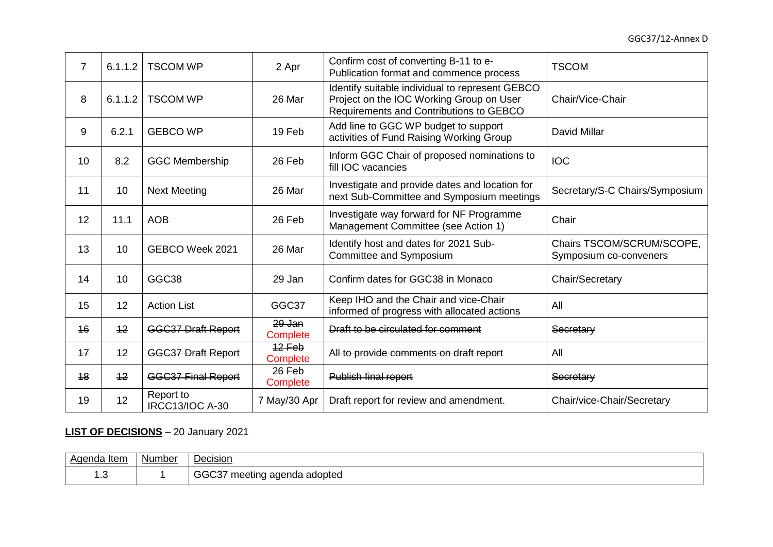| $\overline{7}$ | 6.1.1.2 | <b>TSCOM WP</b>                     | 2 Apr                       | Confirm cost of converting B-11 to e-<br>Publication format and commence process                                                       | <b>TSCOM</b>                                        |
|----------------|---------|-------------------------------------|-----------------------------|----------------------------------------------------------------------------------------------------------------------------------------|-----------------------------------------------------|
| 8              | 6.1.1.2 | <b>TSCOM WP</b>                     | 26 Mar                      | Identify suitable individual to represent GEBCO<br>Project on the IOC Working Group on User<br>Requirements and Contributions to GEBCO | Chair/Vice-Chair                                    |
| 9              | 6.2.1   | <b>GEBCO WP</b>                     | 19 Feb                      | Add line to GGC WP budget to support<br>activities of Fund Raising Working Group                                                       | <b>David Millar</b>                                 |
| 10             | 8.2     | <b>GGC Membership</b>               | 26 Feb                      | Inform GGC Chair of proposed nominations to<br>fill IOC vacancies                                                                      | <b>IOC</b>                                          |
| 11             | 10      | <b>Next Meeting</b>                 | 26 Mar                      | Investigate and provide dates and location for<br>next Sub-Committee and Symposium meetings                                            | Secretary/S-C Chairs/Symposium                      |
| 12             | 11.1    | <b>AOB</b>                          | 26 Feb                      | Investigate way forward for NF Programme<br>Management Committee (see Action 1)                                                        | Chair                                               |
| 13             | 10      | GEBCO Week 2021                     | 26 Mar                      | Identify host and dates for 2021 Sub-<br>Committee and Symposium                                                                       | Chairs TSCOM/SCRUM/SCOPE,<br>Symposium co-conveners |
| 14             | 10      | GGC38                               | 29 Jan                      | Confirm dates for GGC38 in Monaco                                                                                                      | Chair/Secretary                                     |
| 15             | 12      | <b>Action List</b>                  | GGC37                       | Keep IHO and the Chair and vice-Chair<br>informed of progress with allocated actions                                                   | All                                                 |
| 16             | 12      | <b>GGC37 Draft Report</b>           | $29$ Jan<br><b>Complete</b> | Draft to be circulated for comment                                                                                                     | Secretary                                           |
| 17             | 12      | <b>GGC37 Draft Report</b>           | $12$ Feb<br>Complete        | All to provide comments on draft report                                                                                                | AH                                                  |
| 48             | 12      | <b>GGC37 Final Report</b>           | $26$ Feb<br>Complete        | Publish final report                                                                                                                   | Secretary                                           |
| 19             | 12      | Report to<br><b>IRCC13/IOC A-30</b> | 7 May/30 Apr                | Draft report for review and amendment.                                                                                                 | Chair/vice-Chair/Secretary                          |

## **LIST OF DECISIONS** – 20 January 2021

| Agenda Item | Number | Decision                                                                    |
|-------------|--------|-----------------------------------------------------------------------------|
| ن. ا        |        | $\sim$ $\sim$ $\sim$ $\sim$<br>⊧adopted<br>l aqenda<br>meeting<br>יי<br>. . |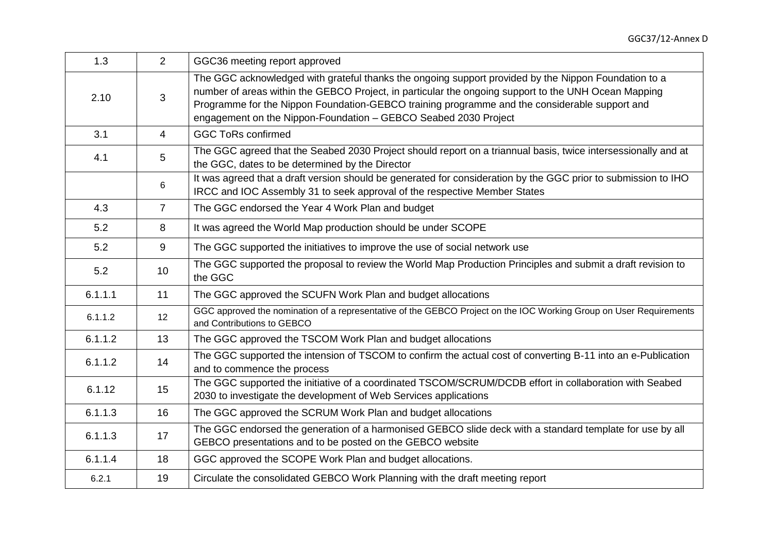| 1.3     | 2              | GGC36 meeting report approved                                                                                                                                                                                                                                                                                                                                                    |
|---------|----------------|----------------------------------------------------------------------------------------------------------------------------------------------------------------------------------------------------------------------------------------------------------------------------------------------------------------------------------------------------------------------------------|
| 2.10    | 3              | The GGC acknowledged with grateful thanks the ongoing support provided by the Nippon Foundation to a<br>number of areas within the GEBCO Project, in particular the ongoing support to the UNH Ocean Mapping<br>Programme for the Nippon Foundation-GEBCO training programme and the considerable support and<br>engagement on the Nippon-Foundation - GEBCO Seabed 2030 Project |
| 3.1     | $\overline{4}$ | <b>GGC ToRs confirmed</b>                                                                                                                                                                                                                                                                                                                                                        |
| 4.1     | 5              | The GGC agreed that the Seabed 2030 Project should report on a triannual basis, twice intersessionally and at<br>the GGC, dates to be determined by the Director                                                                                                                                                                                                                 |
|         | 6              | It was agreed that a draft version should be generated for consideration by the GGC prior to submission to IHO<br>IRCC and IOC Assembly 31 to seek approval of the respective Member States                                                                                                                                                                                      |
| 4.3     | $\overline{7}$ | The GGC endorsed the Year 4 Work Plan and budget                                                                                                                                                                                                                                                                                                                                 |
| 5.2     | 8              | It was agreed the World Map production should be under SCOPE                                                                                                                                                                                                                                                                                                                     |
| 5.2     | 9              | The GGC supported the initiatives to improve the use of social network use                                                                                                                                                                                                                                                                                                       |
| 5.2     | 10             | The GGC supported the proposal to review the World Map Production Principles and submit a draft revision to<br>the GGC                                                                                                                                                                                                                                                           |
| 6.1.1.1 | 11             | The GGC approved the SCUFN Work Plan and budget allocations                                                                                                                                                                                                                                                                                                                      |
| 6.1.1.2 | 12             | GGC approved the nomination of a representative of the GEBCO Project on the IOC Working Group on User Requirements<br>and Contributions to GEBCO                                                                                                                                                                                                                                 |
| 6.1.1.2 | 13             | The GGC approved the TSCOM Work Plan and budget allocations                                                                                                                                                                                                                                                                                                                      |
| 6.1.1.2 | 14             | The GGC supported the intension of TSCOM to confirm the actual cost of converting B-11 into an e-Publication<br>and to commence the process                                                                                                                                                                                                                                      |
| 6.1.12  | 15             | The GGC supported the initiative of a coordinated TSCOM/SCRUM/DCDB effort in collaboration with Seabed<br>2030 to investigate the development of Web Services applications                                                                                                                                                                                                       |
| 6.1.1.3 | 16             | The GGC approved the SCRUM Work Plan and budget allocations                                                                                                                                                                                                                                                                                                                      |
| 6.1.1.3 | 17             | The GGC endorsed the generation of a harmonised GEBCO slide deck with a standard template for use by all<br>GEBCO presentations and to be posted on the GEBCO website                                                                                                                                                                                                            |
| 6.1.1.4 | 18             | GGC approved the SCOPE Work Plan and budget allocations.                                                                                                                                                                                                                                                                                                                         |
| 6.2.1   | 19             | Circulate the consolidated GEBCO Work Planning with the draft meeting report                                                                                                                                                                                                                                                                                                     |